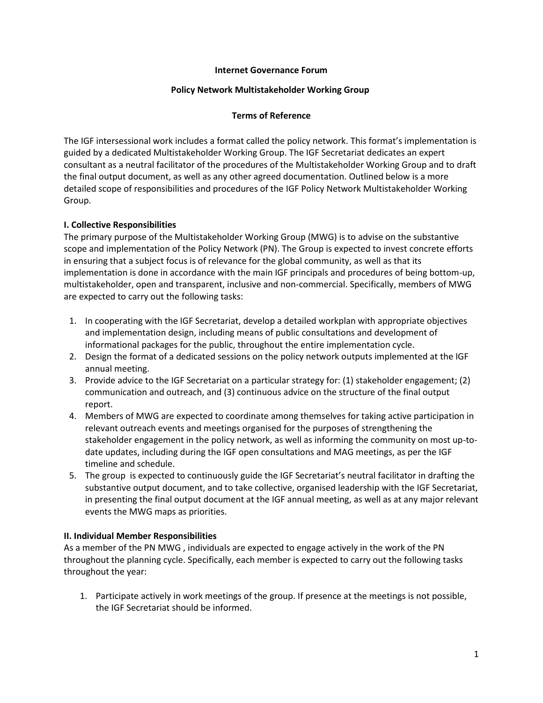## **Internet Governance Forum**

#### **Policy Network Multistakeholder Working Group**

## **Terms of Reference**

The IGF intersessional work includes a format called the policy network. This format's implementation is guided by a dedicated Multistakeholder Working Group. The IGF Secretariat dedicates an expert consultant as a neutral facilitator of the procedures of the Multistakeholder Working Group and to draft the final output document, as well as any other agreed documentation. Outlined below is a more detailed scope of responsibilities and procedures of the IGF Policy Network Multistakeholder Working Group.

## **I. Collective Responsibilities**

The primary purpose of the Multistakeholder Working Group (MWG) is to advise on the substantive scope and implementation of the Policy Network (PN). The Group is expected to invest concrete efforts in ensuring that a subject focus is of relevance for the global community, as well as that its implementation is done in accordance with the main IGF principals and procedures of being bottom-up, multistakeholder, open and transparent, inclusive and non-commercial. Specifically, members of MWG are expected to carry out the following tasks:

- 1. In cooperating with the IGF Secretariat, develop a detailed workplan with appropriate objectives and implementation design, including means of public consultations and development of informational packages for the public, throughout the entire implementation cycle.
- 2. Design the format of a dedicated sessions on the policy network outputs implemented at the IGF annual meeting.
- 3. Provide advice to the IGF Secretariat on a particular strategy for: (1) stakeholder engagement; (2) communication and outreach, and (3) continuous advice on the structure of the final output report.
- 4. Members of MWG are expected to coordinate among themselves for taking active participation in relevant outreach events and meetings organised for the purposes of strengthening the stakeholder engagement in the policy network, as well as informing the community on most up-todate updates, including during the IGF open consultations and MAG meetings, as per the IGF timeline and schedule.
- 5. The group is expected to continuously guide the IGF Secretariat's neutral facilitator in drafting the substantive output document, and to take collective, organised leadership with the IGF Secretariat, in presenting the final output document at the IGF annual meeting, as well as at any major relevant events the MWG maps as priorities.

## **II. Individual Member Responsibilities**

As a member of the PN MWG , individuals are expected to engage actively in the work of the PN throughout the planning cycle. Specifically, each member is expected to carry out the following tasks throughout the year:

1. Participate actively in work meetings of the group. If presence at the meetings is not possible, the IGF Secretariat should be informed.